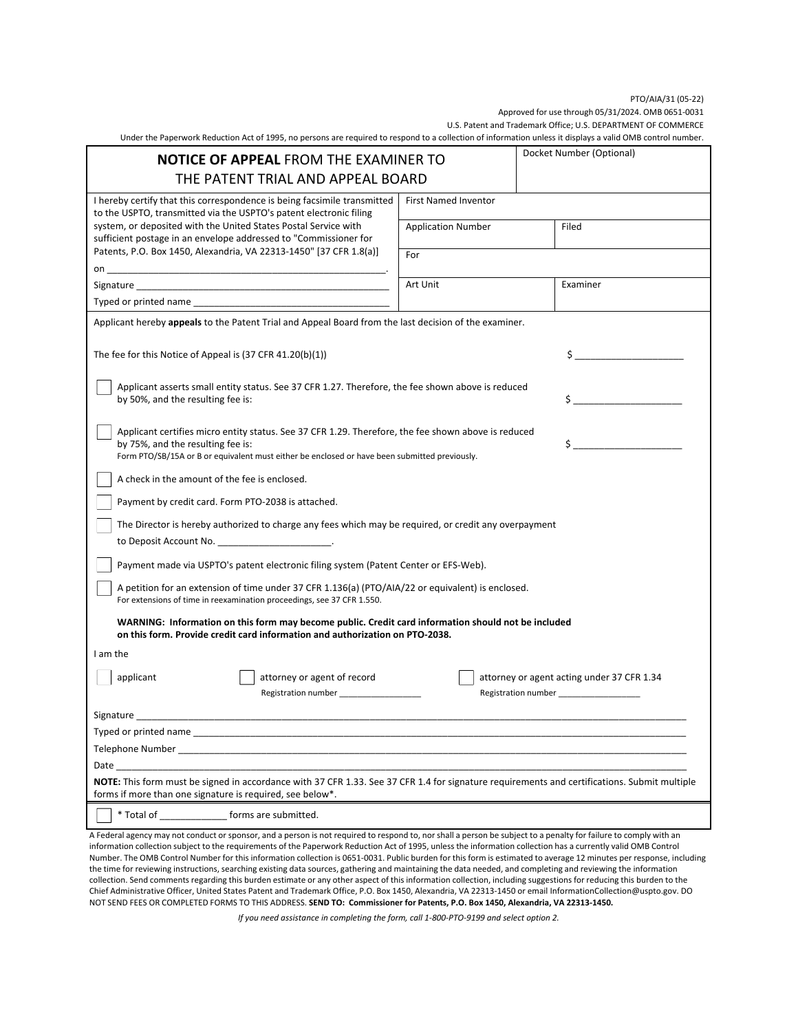## PTO/AIA/31 (05-22)

PTO/AIA/31 (05-22)<br>Approved for use through 05/31/2024. OMB 0651-0031

U.S. Patent and Trademark Office; U.S. DEPARTMENT OF COMMERCE

U.S. Patent and Trademark Office; U.S. DEPARTMENT OF COMMERCE<br>.Under the Paperwork Reduction Act of 1995, no persons are required to respond to a collection of information unless it displays a valid OMB control number.

| <b>NOTICE OF APPEAL FROM THE EXAMINER TO</b>                                                                                                                                                                                                                                                                                                                |                             |                                            |
|-------------------------------------------------------------------------------------------------------------------------------------------------------------------------------------------------------------------------------------------------------------------------------------------------------------------------------------------------------------|-----------------------------|--------------------------------------------|
| THE PATENT TRIAL AND APPEAL BOARD                                                                                                                                                                                                                                                                                                                           |                             |                                            |
| I hereby certify that this correspondence is being facsimile transmitted<br>to the USPTO, transmitted via the USPTO's patent electronic filing<br>system, or deposited with the United States Postal Service with<br>sufficient postage in an envelope addressed to "Commissioner for<br>Patents, P.O. Box 1450, Alexandria, VA 22313-1450" [37 CFR 1.8(a)] | <b>First Named Inventor</b> |                                            |
|                                                                                                                                                                                                                                                                                                                                                             | <b>Application Number</b>   | Filed                                      |
|                                                                                                                                                                                                                                                                                                                                                             | For                         |                                            |
|                                                                                                                                                                                                                                                                                                                                                             |                             |                                            |
| Signature and the state of the state of the state of the state of the state of the state of the state of the state of the state of the state of the state of the state of the state of the state of the state of the state of                                                                                                                               | Art Unit                    | Examiner                                   |
|                                                                                                                                                                                                                                                                                                                                                             |                             |                                            |
| Applicant hereby appeals to the Patent Trial and Appeal Board from the last decision of the examiner.                                                                                                                                                                                                                                                       |                             |                                            |
| The fee for this Notice of Appeal is $(37$ CFR 41.20(b) $(1)$ )                                                                                                                                                                                                                                                                                             |                             | $\frac{1}{2}$                              |
| Applicant asserts small entity status. See 37 CFR 1.27. Therefore, the fee shown above is reduced<br>\$<br>by 50%, and the resulting fee is:                                                                                                                                                                                                                |                             |                                            |
| Applicant certifies micro entity status. See 37 CFR 1.29. Therefore, the fee shown above is reduced<br>\$<br>by 75%, and the resulting fee is:<br>Form PTO/SB/15A or B or equivalent must either be enclosed or have been submitted previously.                                                                                                             |                             |                                            |
| A check in the amount of the fee is enclosed.                                                                                                                                                                                                                                                                                                               |                             |                                            |
| Payment by credit card. Form PTO-2038 is attached.                                                                                                                                                                                                                                                                                                          |                             |                                            |
| The Director is hereby authorized to charge any fees which may be required, or credit any overpayment                                                                                                                                                                                                                                                       |                             |                                            |
| to Deposit Account No.                                                                                                                                                                                                                                                                                                                                      |                             |                                            |
| Payment made via USPTO's patent electronic filing system (Patent Center or EFS-Web).                                                                                                                                                                                                                                                                        |                             |                                            |
| A petition for an extension of time under 37 CFR 1.136(a) (PTO/AIA/22 or equivalent) is enclosed.<br>For extensions of time in reexamination proceedings, see 37 CFR 1.550.                                                                                                                                                                                 |                             |                                            |
| WARNING: Information on this form may become public. Credit card information should not be included<br>on this form. Provide credit card information and authorization on PTO-2038.                                                                                                                                                                         |                             |                                            |
| I am the                                                                                                                                                                                                                                                                                                                                                    |                             |                                            |
| applicant<br>attorney or agent of record                                                                                                                                                                                                                                                                                                                    |                             | attorney or agent acting under 37 CFR 1.34 |
| Signature                                                                                                                                                                                                                                                                                                                                                   |                             |                                            |
| Typed or printed name                                                                                                                                                                                                                                                                                                                                       |                             |                                            |
| Telephone Number and the state of the state of the state of the state of the state of the state of the state of the state of the state of the state of the state of the state of the state of the state of the state of the st                                                                                                                              |                             |                                            |
| Date and the state of the state of the state of the state of the state of the state of the state of the state                                                                                                                                                                                                                                               |                             |                                            |
| NOTE: This form must be signed in accordance with 37 CFR 1.33. See 37 CFR 1.4 for signature requirements and certifications. Submit multiple<br>forms if more than one signature is required, see below*.                                                                                                                                                   |                             |                                            |
| * Total of forms are submitted.                                                                                                                                                                                                                                                                                                                             |                             |                                            |

 A Federal agency may not conduct or sponsor, and a person is not required to respond to, nor shall a person be subject to a penalty for failure to comply with an information collection subject to the requirements of the Paperwork Reduction Act of 1995, unless the information collection has a currently valid OMB Control Number. The OMB Control Number for this information collection is 0651-0031. Public burden for this form is estimated to average 12 minutes per response, including the time for reviewing instructions, searching existing data sources, gathering and maintaining the data needed, and completing and reviewing the information collection. Send comments regarding this burden estimate or any other aspect of this information collection, including suggestions for reducing this burden to the  Chief Administrative Officer, United States Patent and Trademark Office, P.O. Box 1450, Alexandria, VA 22313-1450 or email InformationCollection@uspto.gov. DO NOT SEND FEES OR COMPLETED FORMS TO THIS ADDRESS. <mark>SEND TO: Commissioner for Patents, P.O. Box 1450, Alexandria, VA 22313-1450.</mark>

If you need assistance in completing the form, call 1-800-PTO-9199 and select option 2.